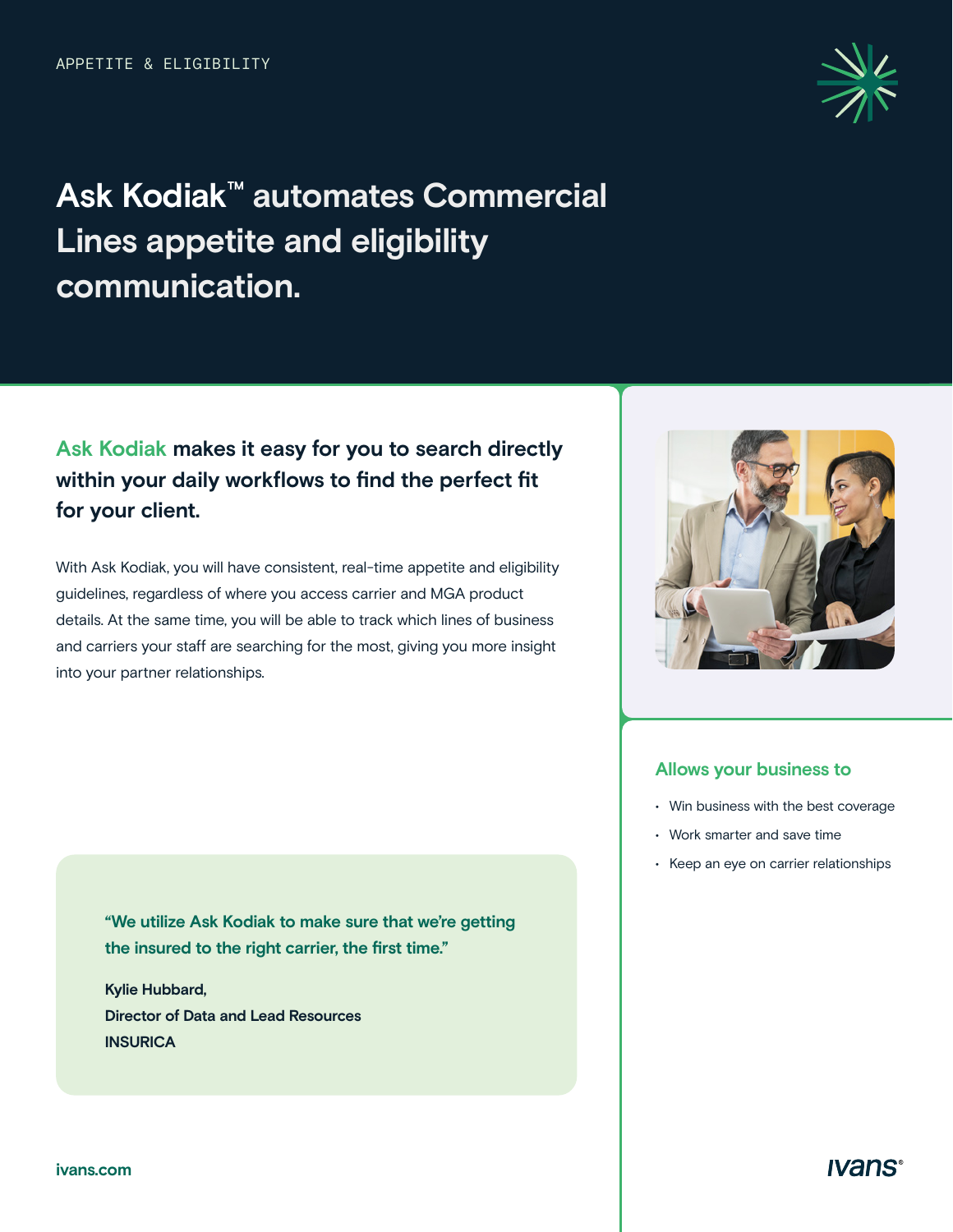

# **Ask Kodiak™ automates Commercial Lines appetite and eligibility communication.**

## **Ask Kodiak makes it easy for you to search directly within your daily workflows to find the perfect fit for your client.**

With Ask Kodiak, you will have consistent, real-time appetite and eligibility guidelines, regardless of where you access carrier and MGA product details. At the same time, you will be able to track which lines of business and carriers your staff are searching for the most, giving you more insight into your partner relationships.

#### **Allows your business to**

- Win business with the best coverage
- Work smarter and save time
- Keep an eye on carrier relationships

**"We utilize Ask Kodiak to make sure that we're getting the insured to the right carrier, the first time."** 

**Kylie Hubbard, Director of Data and Lead Resources INSURICA**